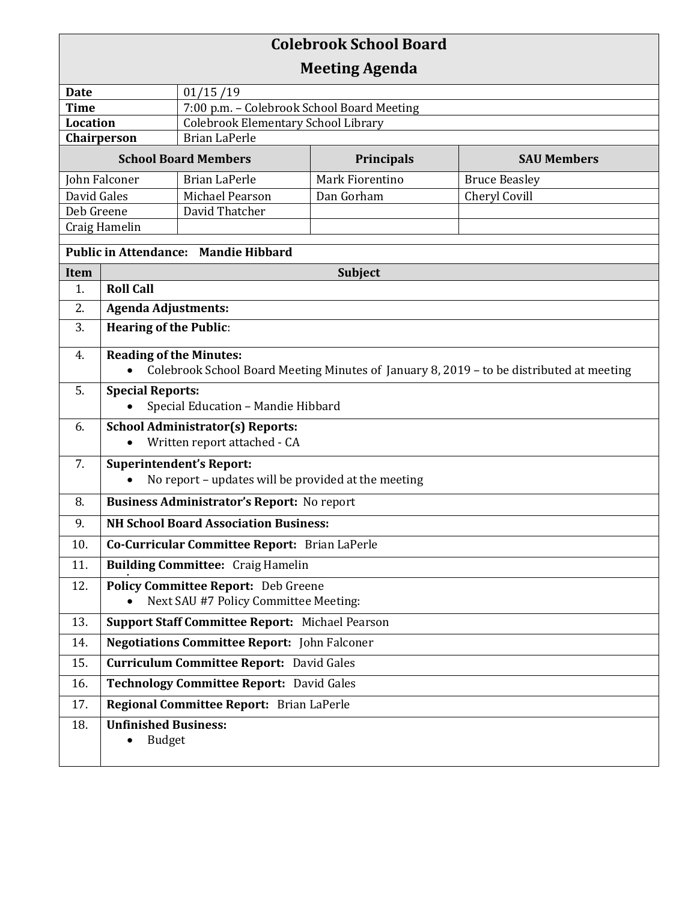| <b>Colebrook School Board</b>               |                                                                                                                            |                                                             |                               |                                       |  |  |
|---------------------------------------------|----------------------------------------------------------------------------------------------------------------------------|-------------------------------------------------------------|-------------------------------|---------------------------------------|--|--|
| <b>Meeting Agenda</b>                       |                                                                                                                            |                                                             |                               |                                       |  |  |
| <b>Date</b><br>01/15/19                     |                                                                                                                            |                                                             |                               |                                       |  |  |
| <b>Time</b>                                 |                                                                                                                            | 7:00 p.m. - Colebrook School Board Meeting                  |                               |                                       |  |  |
| <b>Location</b><br>Chairperson              |                                                                                                                            | Colebrook Elementary School Library<br><b>Brian LaPerle</b> |                               |                                       |  |  |
|                                             |                                                                                                                            |                                                             |                               |                                       |  |  |
| <b>School Board Members</b>                 |                                                                                                                            |                                                             | Principals                    | <b>SAU Members</b>                    |  |  |
| John Falconer<br>David Gales                |                                                                                                                            | <b>Brian LaPerle</b><br>Michael Pearson                     | Mark Fiorentino<br>Dan Gorham | <b>Bruce Beasley</b><br>Cheryl Covill |  |  |
| Deb Greene                                  |                                                                                                                            | David Thatcher                                              |                               |                                       |  |  |
| Craig Hamelin                               |                                                                                                                            |                                                             |                               |                                       |  |  |
| <b>Public in Attendance: Mandie Hibbard</b> |                                                                                                                            |                                                             |                               |                                       |  |  |
| <b>Subject</b><br>Item                      |                                                                                                                            |                                                             |                               |                                       |  |  |
| 1.                                          | <b>Roll Call</b>                                                                                                           |                                                             |                               |                                       |  |  |
| 2.                                          | <b>Agenda Adjustments:</b>                                                                                                 |                                                             |                               |                                       |  |  |
| 3.                                          | <b>Hearing of the Public:</b>                                                                                              |                                                             |                               |                                       |  |  |
| 4.                                          | <b>Reading of the Minutes:</b><br>Colebrook School Board Meeting Minutes of January 8, 2019 - to be distributed at meeting |                                                             |                               |                                       |  |  |
| 5.                                          | <b>Special Reports:</b>                                                                                                    |                                                             |                               |                                       |  |  |
|                                             | Special Education - Mandie Hibbard                                                                                         |                                                             |                               |                                       |  |  |
| 6.                                          |                                                                                                                            | <b>School Administrator(s) Reports:</b>                     |                               |                                       |  |  |
|                                             | Written report attached - CA                                                                                               |                                                             |                               |                                       |  |  |
| 7.                                          |                                                                                                                            | <b>Superintendent's Report:</b>                             |                               |                                       |  |  |
|                                             | No report - updates will be provided at the meeting                                                                        |                                                             |                               |                                       |  |  |
| 8.                                          | <b>Business Administrator's Report: No report</b>                                                                          |                                                             |                               |                                       |  |  |
| 9.                                          | <b>NH School Board Association Business:</b>                                                                               |                                                             |                               |                                       |  |  |
| 10.                                         | Co-Curricular Committee Report: Brian LaPerle                                                                              |                                                             |                               |                                       |  |  |
| 11.                                         | <b>Building Committee: Craig Hamelin</b>                                                                                   |                                                             |                               |                                       |  |  |
| 12.                                         | <b>Policy Committee Report:</b> Deb Greene<br>Next SAU #7 Policy Committee Meeting:                                        |                                                             |                               |                                       |  |  |
| 13.                                         | Support Staff Committee Report: Michael Pearson                                                                            |                                                             |                               |                                       |  |  |
| 14.                                         | <b>Negotiations Committee Report:</b> John Falconer                                                                        |                                                             |                               |                                       |  |  |
| 15.                                         | <b>Curriculum Committee Report: David Gales</b>                                                                            |                                                             |                               |                                       |  |  |
| 16.                                         | <b>Technology Committee Report: David Gales</b>                                                                            |                                                             |                               |                                       |  |  |
| 17.                                         | Regional Committee Report: Brian LaPerle                                                                                   |                                                             |                               |                                       |  |  |
| 18.                                         | <b>Unfinished Business:</b>                                                                                                |                                                             |                               |                                       |  |  |
|                                             | <b>Budget</b>                                                                                                              |                                                             |                               |                                       |  |  |
|                                             |                                                                                                                            |                                                             |                               |                                       |  |  |